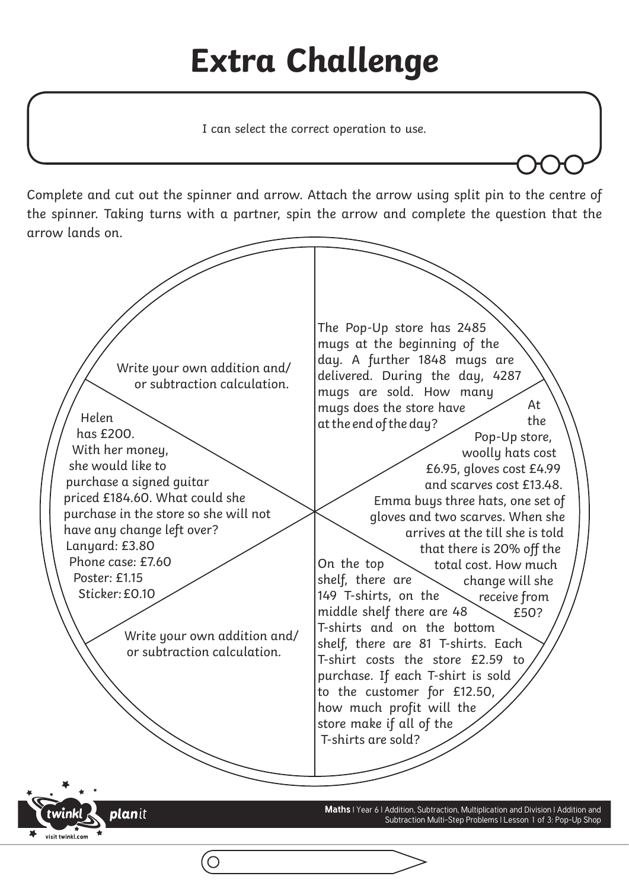## **Extra Challenge**

I can select the correct operation to use.

Complete and cut out the spinner and arrow. Attach the arrow using split pin to the centre of the spinner. Taking turns with a partner, spin the arrow and complete the question that the arrow lands on.



**plan**it

visit twinkl com

**Maths** | Year 6 | Addition, Subtraction, Multiplication and Division | Addition and Subtraction Multi-Step Problems | Lesson 1 of 3: Pop-Up Shop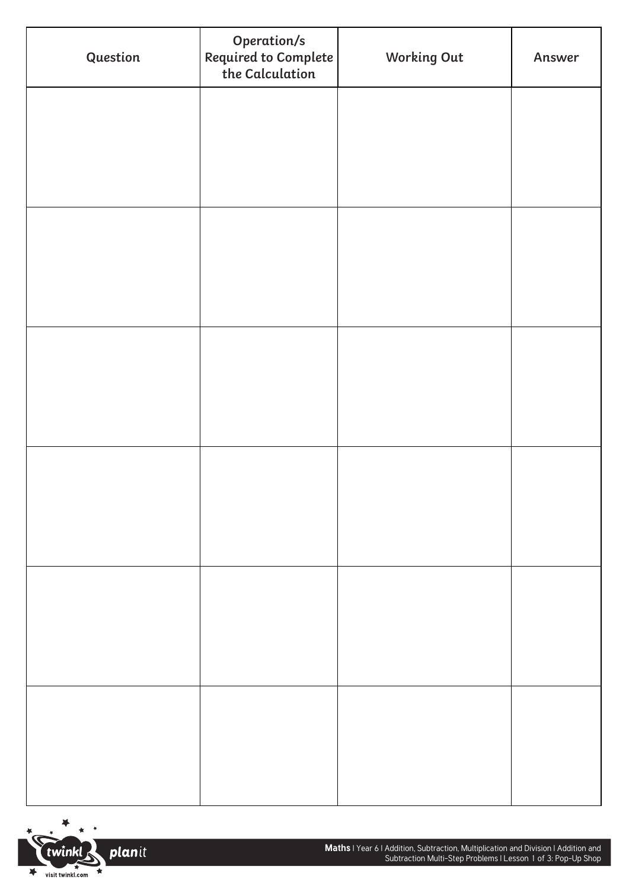| Question | Operation/s<br>Required to Complete<br>the Calculation | <b>Working Out</b> | Answer |
|----------|--------------------------------------------------------|--------------------|--------|
|          |                                                        |                    |        |
|          |                                                        |                    |        |
|          |                                                        |                    |        |
|          |                                                        |                    |        |
|          |                                                        |                    |        |
|          |                                                        |                    |        |
|          |                                                        |                    |        |
|          |                                                        |                    |        |
|          |                                                        |                    |        |
|          |                                                        |                    |        |
|          |                                                        |                    |        |
|          |                                                        |                    |        |